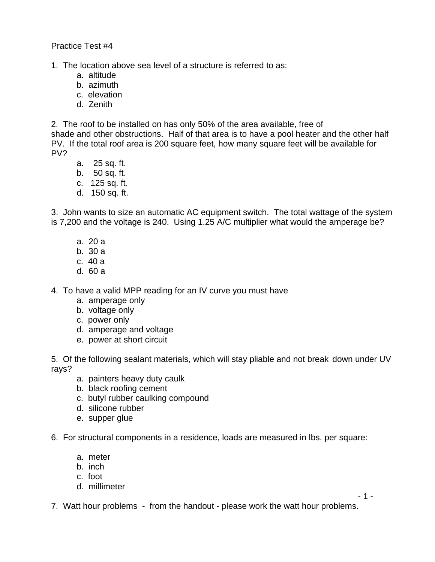Practice Test #4

1. The location above sea level of a structure is referred to as:

- a. altitude
- b. azimuth
- c. elevation
- d. Zenith

2. The roof to be installed on has only 50% of the area available, free of shade and other obstructions. Half of that area is to have a pool heater and the other half PV. If the total roof area is 200 square feet, how many square feet will be available for PV?

- a. 25 sq. ft.
- b. 50 sq. ft.
- c. 125 sq. ft.
- d. 150 sq. ft.

3. John wants to size an automatic AC equipment switch. The total wattage of the system is 7,200 and the voltage is 240. Using 1.25 A/C multiplier what would the amperage be?

- a. 20 a
- b. 30 a
- c. 40 a
- d. 60 a

4. To have a valid MPP reading for an IV curve you must have

- a. amperage only
- b. voltage only
- c. power only
- d. amperage and voltage
- e. power at short circuit

5. Of the following sealant materials, which will stay pliable and not break down under UV rays?

- a. painters heavy duty caulk
- b. black roofing cement
- c. butyl rubber caulking compound
- d. silicone rubber
- e. supper glue

6. For structural components in a residence, loads are measured in lbs. per square:

- a. meter
- b. inch
- c. foot
- d. millimeter

7. Watt hour problems - from the handout - please work the watt hour problems.

- 1 -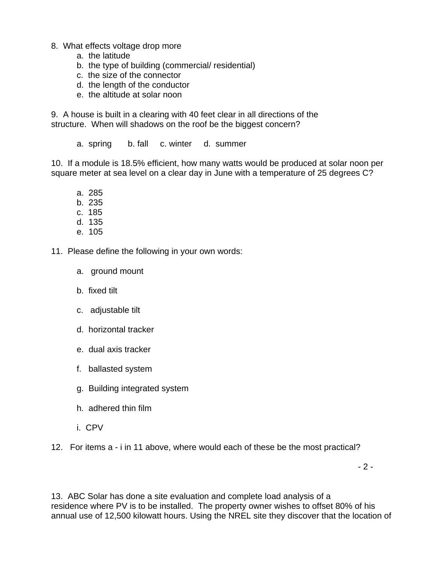- 8. What effects voltage drop more
	- a. the latitude
	- b. the type of building (commercial/ residential)
	- c. the size of the connector
	- d. the length of the conductor
	- e. the altitude at solar noon

9. A house is built in a clearing with 40 feet clear in all directions of the structure. When will shadows on the roof be the biggest concern?

a. spring b. fall c. winter d. summer

10. If a module is 18.5% efficient, how many watts would be produced at solar noon per square meter at sea level on a clear day in June with a temperature of 25 degrees C?

- a. 285
- b. 235
- c. 185
- d. 135
- e. 105

11. Please define the following in your own words:

- a. ground mount
- b. fixed tilt
- c. adjustable tilt
- d. horizontal tracker
- e. dual axis tracker
- f. ballasted system
- g. Building integrated system
- h. adhered thin film
- i. CPV
- 12. For items a i in 11 above, where would each of these be the most practical?

- 2 -

13. ABC Solar has done a site evaluation and complete load analysis of a residence where PV is to be installed. The property owner wishes to offset 80% of his annual use of 12,500 kilowatt hours. Using the NREL site they discover that the location of